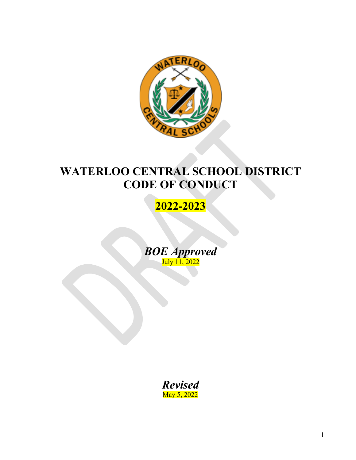

# **WATERLOO CENTRAL SCHOOL DISTRICT CODE OF CONDUCT**

# **2022-2023**

*BOE Approved* July 11, 2022

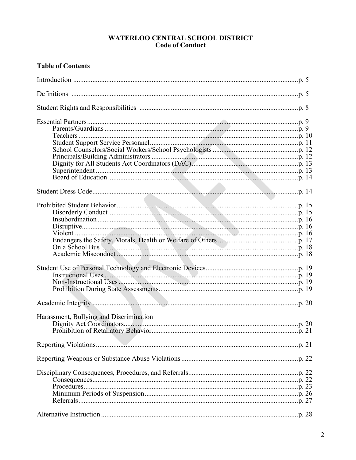# WATERLOO CENTRAL SCHOOL DISTRICT<br>Code of Conduct

# **Table of Contents**

| Harassment, Bullying and Discrimination |
|-----------------------------------------|
|                                         |
|                                         |
|                                         |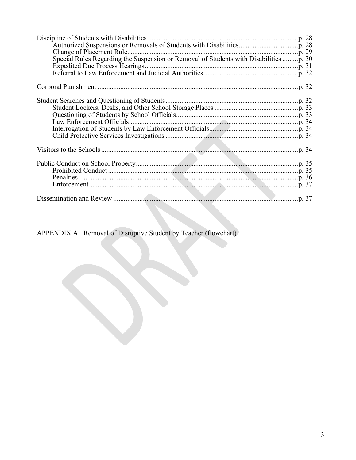| Special Rules Regarding the Suspension or Removal of Students with Disabilities p. 30 |  |
|---------------------------------------------------------------------------------------|--|
|                                                                                       |  |
|                                                                                       |  |
|                                                                                       |  |
|                                                                                       |  |
|                                                                                       |  |
|                                                                                       |  |
|                                                                                       |  |
|                                                                                       |  |
|                                                                                       |  |
|                                                                                       |  |
|                                                                                       |  |
|                                                                                       |  |
|                                                                                       |  |
|                                                                                       |  |
|                                                                                       |  |
|                                                                                       |  |
|                                                                                       |  |
|                                                                                       |  |
|                                                                                       |  |

APPENDIX A: Removal of Disruptive Student by Teacher (flowchart)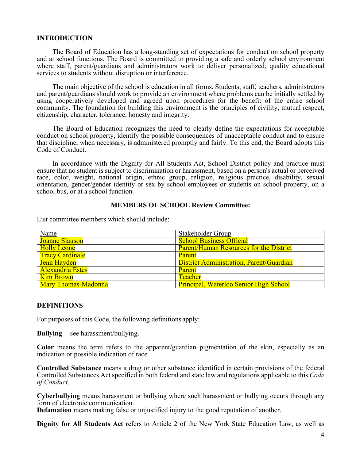# **INTRODUCTION**

The Board of Education has a long-standing set of expectations for conduct on school property and at school functions. The Board is committed to providing a safe and orderly school environment where staff, parent/guardians and administrators work to deliver personalized, quality educational services to students without disruption or interference.

The main objective of the school is education in all forms. Students, staff, teachers, administrators and parent/guardians should work to provide an environment where problems can be initially settled by using cooperatively developed and agreed upon procedures for the benefit of the entire school community. The foundation for building this environment is the principles of civility, mutual respect, citizenship, character, tolerance, honesty and integrity.

The Board of Education recognizes the need to clearly define the expectations for acceptable conduct on school property, identify the possible consequences of unacceptable conduct and to ensure that discipline, when necessary, is administered promptly and fairly. To this end, the Board adopts this Code of Conduct.

In accordance with the Dignity for All Students Act, School District policy and practice must ensure that no student is subject to discrimination or harassment, based on a person's actual or perceived race, color, weight, national origin, ethnic group, religion, religious practice, disability, sexual orientation, gender/gender identity or sex by school employees or students on school property, on a school bus, or at a school function.

### **MEMBERS OF SCHOOL Review Committee:**

List committee members which should include:

| Name                       | Stakeholder Group                               |
|----------------------------|-------------------------------------------------|
| <b>Joanne Slauson</b>      | <b>School Business Official</b>                 |
| <b>Holly Leone</b>         | <b>Parent/Human Resources for the District</b>  |
| <b>Tracy Cardinale</b>     | Parent                                          |
| Jenn Hayden                | <b>District Administration, Parent/Guardian</b> |
| <b>Alexandria Estes</b>    | Parent                                          |
| <b>Kim Brown</b>           | <b>Teacher</b>                                  |
| <b>Mary Thomas-Madonna</b> | Principal, Waterloo Senior High School          |

#### **DEFINITIONS**

For purposes of this Code, the following definitions apply:

**Bullying** -- see harassment/bullying.

**Color** means the term refers to the apparent/guardian pigmentation of the skin, especially as an indication or possible indication of race.

**Controlled Substance** means a drug or other substance identified in certain provisions of the federal Controlled Substances Act specified in both federal and state law and regulations applicable to this *Code of Conduct*.

**Cyberbullying** means harassment or bullying where such harassment or bullying occurs through any form of electronic communication.

**Defamation** means making false or unjustified injury to the good reputation of another.

**Dignity for All Students Act** refers to Article 2 of the New York State Education Law, as well as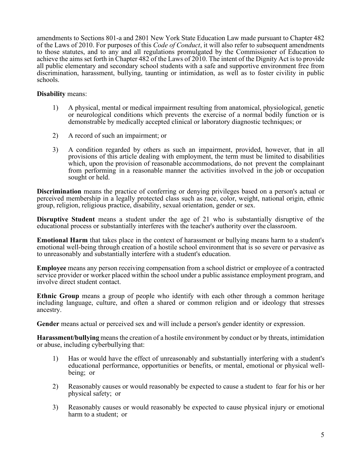amendments to Sections 801-a and 2801 New York State Education Law made pursuant to Chapter 482 of the Laws of 2010. For purposes of this *Code of Conduct*, it will also refer to subsequent amendments to those statutes, and to any and all regulations promulgated by the Commissioner of Education to achieve the aims set forth in Chapter 482 of the Laws of 2010. The intent of the Dignity Act is to provide all public elementary and secondary school students with a safe and supportive environment free from discrimination, harassment, bullying, taunting or intimidation, as well as to foster civility in public schools.

# **Disability** means:

- 1) A physical, mental or medical impairment resulting from anatomical, physiological, genetic or neurological conditions which prevents the exercise of a normal bodily function or is demonstrable by medically accepted clinical or laboratory diagnostic techniques; or
- 2) A record of such an impairment; or
- 3) A condition regarded by others as such an impairment, provided, however, that in all provisions of this article dealing with employment, the term must be limited to disabilities which, upon the provision of reasonable accommodations, do not prevent the complainant from performing in a reasonable manner the activities involved in the job or occupation sought or held.

**Discrimination** means the practice of conferring or denying privileges based on a person's actual or perceived membership in a legally protected class such as race, color, weight, national origin, ethnic group, religion, religious practice, disability, sexual orientation, gender or sex.

**Disruptive Student** means a student under the age of 21 who is substantially disruptive of the educational process or substantially interferes with the teacher's authority over the classroom.

**Emotional Harm** that takes place in the context of harassment or bullying means harm to a student's emotional well-being through creation of a hostile school environment that is so severe or pervasive as to unreasonably and substantially interfere with a student's education.

**Employee** means any person receiving compensation from a school district or employee of a contracted service provider or worker placed within the school under a public assistance employment program, and involve direct student contact.

**Ethnic Group** means a group of people who identify with each other through a common heritage including language, culture, and often a shared or common religion and or ideology that stresses ancestry.

**Gender** means actual or perceived sex and will include a person's gender identity or expression.

**Harassment/bullying** means the creation of a hostile environment by conduct or by threats, intimidation or abuse, including cyberbullying that:

- 1) Has or would have the effect of unreasonably and substantially interfering with a student's educational performance, opportunities or benefits, or mental, emotional or physical well- being; or
- 2) Reasonably causes or would reasonably be expected to cause a student to fear for his or her physical safety; or
- 3) Reasonably causes or would reasonably be expected to cause physical injury or emotional harm to a student; or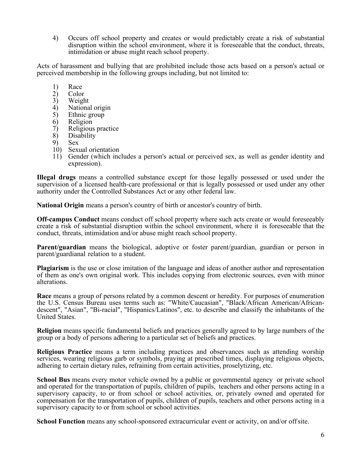4) Occurs off school property and creates or would predictably create a risk of substantial disruption within the school environment, where it is foreseeable that the conduct, threats, intimidation or abuse might reach school property.

Acts of harassment and bullying that are prohibited include those acts based on a person's actual or perceived membership in the following groups including, but not limited to:

- 1) Race<br>2) Color
- 2) Color<br>3) Weigh
- 3) Weight
- 4) National origin<br>5) Ethnic group
- 5) Ethnic group<br>6) Religion
- 6) Religion
- 7) Religious practice
- 8) Disability
- 9) Sex<br>10) Sexu
- Sexual orientation
- 11) Gender (which includes a person's actual or perceived sex, as well as gender identity and expression).

**Illegal drugs** means a controlled substance except for those legally possessed or used under the supervision of a licensed health-care professional or that is legally possessed or used under any other authority under the Controlled Substances Act or any other federal law.

**National Origin** means a person's country of birth or ancestor's country of birth.

**Off-campus Conduct** means conduct off school property where such acts create or would foreseeably create a risk of substantial disruption within the school environment, where it is foreseeable that the conduct, threats, intimidation and/or abuse might reach school property.

**Parent/guardian** means the biological, adoptive or foster parent/guardian, guardian or person in parent/guardianal relation to a student.

**Plagiarism** is the use or close imitation of the language and ideas of another author and representation of them as one's own original work. This includes copying from electronic sources, even with minor alterations.

**Race** means a group of persons related by a common descent or heredity. For purposes of enumeration the U.S. Census Bureau uses terms such as: "White/Caucasian", "Black/African American/Africandescent", "Asian", "Bi-racial", "Hispanics/Latinos", etc. to describe and classify the inhabitants of the United States.

**Religion** means specific fundamental beliefs and practices generally agreed to by large numbers of the group or a body of persons adhering to a particular set of beliefs and practices.

**Religious Practice** means a term including practices and observances such as attending worship services, wearing religious garb or symbols, praying at prescribed times, displaying religious objects, adhering to certain dietary rules, refraining from certain activities, proselytizing, etc.

**School Bus** means every motor vehicle owned by a public or governmental agency or private school and operated for the transportation of pupils, children of pupils, teachers and other persons acting in a supervisory capacity, to or from school or school activities, or, privately owned and operated for compensation for the transportation of pupils, children of pupils, teachers and other persons acting in a supervisory capacity to or from school or school activities.

School Function means any school-sponsored extracurricular event or activity, on and/or off site.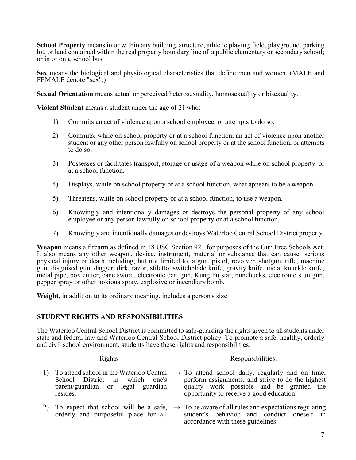**School Property** means in or within any building, structure, athletic playing field, playground, parking lot, or land contained within the real property boundary line of a public elementary or secondary school; or in or on a school bus.

**Sex** means the biological and physiological characteristics that define men and women. (MALE and FEMALE denote "sex".)

**Sexual Orientation** means actual or perceived heterosexuality, homosexuality or bisexuality.

**Violent Student** means a student under the age of 21 who:

- 1) Commits an act of violence upon a school employee, or attempts to do so.
- 2) Commits, while on school property or at a school function, an act of violence upon another student or any other person lawfully on school property or at the school function, or attempts to do so.
- 3) Possesses or facilitates transport, storage or usage of a weapon while on school property or at a school function.
- 4) Displays, while on school property or at a school function, what appears to be a weapon.
- 5) Threatens, while on school property or at a school function, to use a weapon.
- 6) Knowingly and intentionally damages or destroys the personal property of any school employee or any person lawfully on school property or at a school function.
- 7) Knowingly and intentionally damages or destroys Waterloo Central School District property.

**Weapon** means a firearm as defined in 18 USC Section 921 for purposes of the Gun Free Schools Act. It also means any other weapon, device, instrument, material or substance that can cause serious physical injury or death including, but not limited to, a gun, pistol, revolver, shotgun, rifle, machine gun, disguised gun, dagger, dirk, razor, stiletto, switchblade knife, gravity knife, metal knuckle knife, metal pipe, box cutter, cane sword, electronic dart gun, Kung Fu star, nunchucks, electronic stun gun, pepper spray or other noxious spray, explosive or incendiary bomb.

**Weight,** in addition to its ordinary meaning, includes a person's size.

# **STUDENT RIGHTS AND RESPONSIBILITIES**

The Waterloo Central School District is committed to safe-guarding the rights given to all students under state and federal law and Waterloo Central School District policy. To promote a safe, healthy, orderly and civil school environment, students have these rights and responsibilities:

# Rights Responsibilities:

- 1) To attend school in the Waterloo Central  $\rightarrow$  To attend school daily, regularly and on time, School District in which one's parent/guardian or legal guardian resides. perform assignments, and strive to do the highest quality work possible and be granted the opportunity to receive a good education.
- 2) To expect that school will be a safe,  $\rightarrow$  To be aware of all rules and expectations regulating orderly and purposeful place for all student's behavior and conduct oneself in accordance with these guidelines.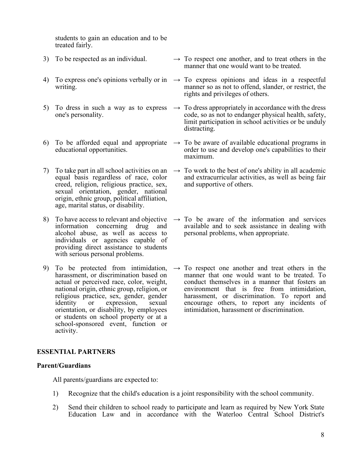students to gain an education and to be treated fairly.

- 3) To be respected as an individual.  $\rightarrow$  To respect one another, and to treat others in the
- writing.
- 5) To dress in such a way as to express one's personality.
- educational opportunities.
- 7) To take part in all school activities on an equal basis regardless of race, color creed, religion, religious practice, sex, sexual orientation, gender, national origin, ethnic group, political affiliation, age, marital status, or disability.
- 8) To have access to relevant and objective information concerning drug and alcohol abuse, as well as access to individuals or agencies capable of providing direct assistance to students with serious personal problems.
- 9) To be protected from intimidation, harassment, or discrimination based on actual or perceived race, color, weight, national origin, ethnic group, religion, or religious practice, sex, gender, gender<br>identity or expression, sexual expression, orientation, or disability, by employees or students on school property or at a school-sponsored event, function or activity.
- manner that one would want to be treated.
- 4) To express one's opinions verbally or in  $\rightarrow$  To express opinions and ideas in a respectful manner so as not to offend, slander, or restrict, the rights and privileges of others.
	- $\rightarrow$  To dress appropriately in accordance with the dress code, so as not to endanger physical health, safety, limit participation in school activities or be unduly distracting.
- 6) To be afforded equal and appropriate  $\rightarrow$  To be aware of available educational programs in order to use and develop one's capabilities to their maximum.
	- $\rightarrow$  To work to the best of one's ability in all academic and extracurricular activities, as well as being fair and supportive of others.
	- $\rightarrow$  To be aware of the information and services available and to seek assistance in dealing with personal problems, when appropriate.
	- $\rightarrow$  To respect one another and treat others in the manner that one would want to be treated. To conduct themselves in a manner that fosters an environment that is free from intimidation, harassment, or discrimination. To report and encourage others, to report any incidents of intimidation, harassment or discrimination.

# **ESSENTIAL PARTNERS**

### **Parent/Guardians**

All parents/guardians are expected to:

- 1) Recognize that the child's education is a joint responsibility with the school community.
- 2) Send their children to school ready to participate and learn as required by New York State Education Law and in accordance with the Waterloo Central School District's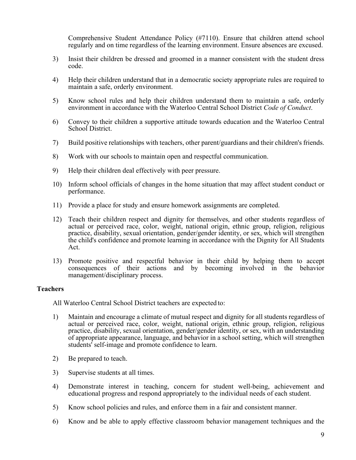Comprehensive Student Attendance Policy (#7110). Ensure that children attend school regularly and on time regardless of the learning environment. Ensure absences are excused.

- 3) Insist their children be dressed and groomed in a manner consistent with the student dress code.
- 4) Help their children understand that in a democratic society appropriate rules are required to maintain a safe, orderly environment.
- 5) Know school rules and help their children understand them to maintain a safe, orderly environment in accordance with the Waterloo Central School District *Code of Conduct*.
- 6) Convey to their children a supportive attitude towards education and the Waterloo Central School District.
- 7) Build positive relationships with teachers, other parent/guardians and their children's friends.
- 8) Work with our schools to maintain open and respectful communication.
- 9) Help their children deal effectively with peer pressure.
- 10) Inform school officials of changes in the home situation that may affect student conduct or performance.
- 11) Provide a place for study and ensure homework assignments are completed.
- 12) Teach their children respect and dignity for themselves, and other students regardless of actual or perceived race, color, weight, national origin, ethnic group, religion, religious practice, disability, sexual orientation, gender/gender identity, or sex, which will strengthen the child's confidence and promote learning in accordance with the Dignity for All Students Act.
- 13) Promote positive and respectful behavior in their child by helping them to accept consequences of their actions and by becoming involved in the behavior management/disciplinary process.

#### **Teachers**

All Waterloo Central School District teachers are expected to:

- 1) Maintain and encourage a climate of mutual respect and dignity for all students regardless of actual or perceived race, color, weight, national origin, ethnic group, religion, religious practice, disability, sexual orientation, gender/gender identity, or sex, with an understanding of appropriate appearance, language, and behavior in a school setting, which will strengthen students' self-image and promote confidence to learn.
- 2) Be prepared to teach.
- 3) Supervise students at all times.
- 4) Demonstrate interest in teaching, concern for student well-being, achievement and educational progress and respond appropriately to the individual needs of each student.
- 5) Know school policies and rules, and enforce them in a fair and consistent manner.
- 6) Know and be able to apply effective classroom behavior management techniques and the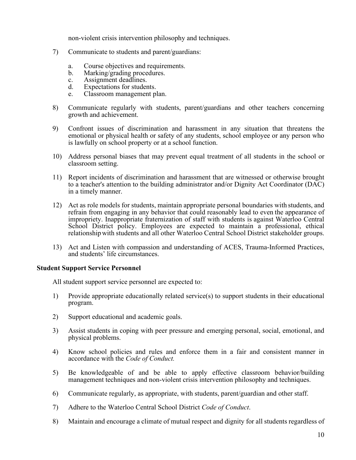non-violent crisis intervention philosophy and techniques.

- 7) Communicate to students and parent/guardians:
	- a. Course objectives and requirements.<br>b. Marking/grading procedures.
	- Marking/grading procedures.
	- c. Assignment deadlines.<br>d. Expectations for studer
	- Expectations for students.
	- e. Classroom management plan.
- 8) Communicate regularly with students, parent/guardians and other teachers concerning growth and achievement.
- 9) Confront issues of discrimination and harassment in any situation that threatens the emotional or physical health or safety of any students, school employee or any person who is lawfully on school property or at a school function.
- 10) Address personal biases that may prevent equal treatment of all students in the school or classroom setting.
- 11) Report incidents of discrimination and harassment that are witnessed or otherwise brought to a teacher's attention to the building administrator and/or Dignity Act Coordinator (DAC) in a timely manner.
- 12) Act as role models for students, maintain appropriate personal boundaries with students, and refrain from engaging in any behavior that could reasonably lead to even the appearance of impropriety. Inappropriate fraternization of staff with students is against Waterloo Central School District policy. Employees are expected to maintain a professional, ethical relationshipwith students and all other Waterloo Central School District stakeholder groups.
- 13) Act and Listen with compassion and understanding of ACES, Trauma-Informed Practices, and students' life circumstances.

# **Student Support Service Personnel**

All student support service personnel are expected to:

- 1) Provide appropriate educationally related service(s) to support students in their educational program.
- 2) Support educational and academic goals.
- 3) Assist students in coping with peer pressure and emerging personal, social, emotional, and physical problems.
- 4) Know school policies and rules and enforce them in a fair and consistent manner in accordance with the *Code of Conduct.*
- 5) Be knowledgeable of and be able to apply effective classroom behavior/building management techniques and non-violent crisis intervention philosophy and techniques.
- 6) Communicate regularly, as appropriate, with students, parent/guardian and other staff.
- 7) Adhere to the Waterloo Central School District *Code of Conduct*.
- 8) Maintain and encourage a climate of mutual respect and dignity for all students regardless of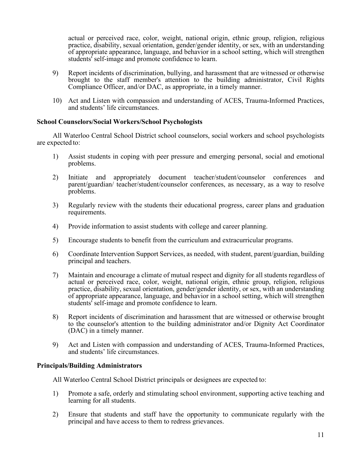actual or perceived race, color, weight, national origin, ethnic group, religion, religious practice, disability, sexual orientation, gender/gender identity, or sex, with an understanding of appropriate appearance, language, and behavior in a school setting, which will strengthen students' self-image and promote confidence to learn.

- 9) Report incidents of discrimination, bullying, and harassment that are witnessed or otherwise brought to the staff member's attention to the building administrator, Civil Rights Compliance Officer, and/or DAC, as appropriate, in a timely manner.
- 10) Act and Listen with compassion and understanding of ACES, Trauma-Informed Practices, and students' life circumstances.

# **School Counselors/Social Workers/School Psychologists**

All Waterloo Central School District school counselors, social workers and school psychologists are expected to:

- 1) Assist students in coping with peer pressure and emerging personal, social and emotional problems.
- 2) Initiate and appropriately document teacher/student/counselor conferences and parent/guardian/ teacher/student/counselor conferences, as necessary, as a way to resolve problems.
- 3) Regularly review with the students their educational progress, career plans and graduation requirements.
- 4) Provide information to assist students with college and career planning.
- 5) Encourage students to benefit from the curriculum and extracurricular programs.
- 6) Coordinate Intervention Support Services, as needed, with student, parent/guardian, building principal and teachers.
- 7) Maintain and encourage a climate of mutual respect and dignity for all students regardless of actual or perceived race, color, weight, national origin, ethnic group, religion, religious practice, disability, sexual orientation, gender/gender identity, or sex, with an understanding of appropriate appearance, language, and behavior in a school setting, which will strengthen students' self-image and promote confidence to learn.
- 8) Report incidents of discrimination and harassment that are witnessed or otherwise brought to the counselor's attention to the building administrator and/or Dignity Act Coordinator (DAC) in a timely manner.
- 9) Act and Listen with compassion and understanding of ACES, Trauma-Informed Practices, and students' life circumstances.

# **Principals/Building Administrators**

All Waterloo Central School District principals or designees are expected to:

- 1) Promote a safe, orderly and stimulating school environment, supporting active teaching and learning for all students.
- 2) Ensure that students and staff have the opportunity to communicate regularly with the principal and have access to them to redress grievances.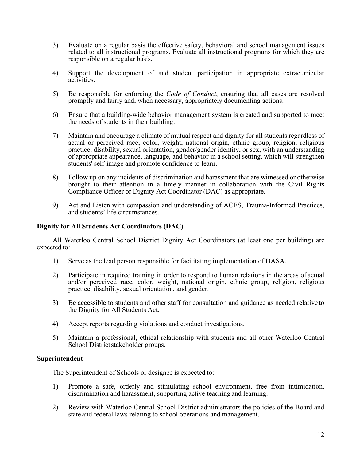- 3) Evaluate on a regular basis the effective safety, behavioral and school management issues related to all instructional programs. Evaluate all instructional programs for which they are responsible on a regular basis.
- 4) Support the development of and student participation in appropriate extracurricular activities.
- 5) Be responsible for enforcing the *Code of Conduct*, ensuring that all cases are resolved promptly and fairly and, when necessary, appropriately documenting actions.
- 6) Ensure that a building-wide behavior management system is created and supported to meet the needs of students in their building.
- 7) Maintain and encourage a climate of mutual respect and dignity for all students regardless of actual or perceived race, color, weight, national origin, ethnic group, religion, religious practice, disability, sexual orientation, gender/gender identity, or sex, with an understanding of appropriate appearance, language, and behavior in a school setting, which will strengthen students' self-image and promote confidence to learn.
- 8) Follow up on any incidents of discrimination and harassment that are witnessed or otherwise brought to their attention in a timely manner in collaboration with the Civil Rights Compliance Officer or Dignity Act Coordinator (DAC) as appropriate.
- 9) Act and Listen with compassion and understanding of ACES, Trauma-Informed Practices, and students' life circumstances.

# **Dignity for All Students Act Coordinators (DAC)**

All Waterloo Central School District Dignity Act Coordinators (at least one per building) are expected to:

- 1) Serve as the lead person responsible for facilitating implementation of DASA.
- 2) Participate in required training in order to respond to human relations in the areas of actual and/or perceived race, color, weight, national origin, ethnic group, religion, religious practice, disability, sexual orientation, and gender.
- 3) Be accessible to students and other staff for consultation and guidance as needed relative to the Dignity for All Students Act.
- 4) Accept reports regarding violations and conduct investigations.
- 5) Maintain a professional, ethical relationship with students and all other Waterloo Central School District stakeholder groups.

### **Superintendent**

The Superintendent of Schools or designee is expected to:

- 1) Promote a safe, orderly and stimulating school environment, free from intimidation, discrimination and harassment, supporting active teaching and learning.
- 2) Review with Waterloo Central School District administrators the policies of the Board and state and federal laws relating to school operations and management.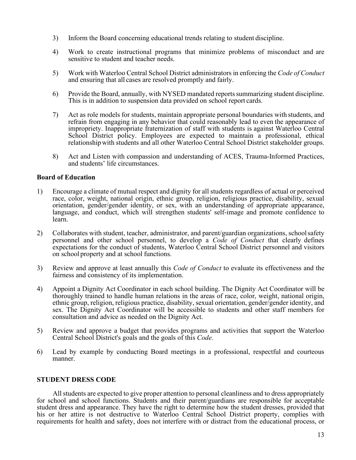- 3) Inform the Board concerning educational trends relating to student discipline.
- 4) Work to create instructional programs that minimize problems of misconduct and are sensitive to student and teacher needs.
- 5) Work with Waterloo Central School District administrators in enforcing the *Code of Conduct* and ensuring that all cases are resolved promptly and fairly.
- 6) Provide the Board, annually, with NYSED mandated reportssummarizing student discipline. This is in addition to suspension data provided on school report cards.
- 7) Act as role models for students, maintain appropriate personal boundaries with students, and refrain from engaging in any behavior that could reasonably lead to even the appearance of impropriety. Inappropriate fraternization of staff with students is against Waterloo Central School District policy. Employees are expected to maintain a professional, ethical relationshipwith students and all other Waterloo Central School District stakeholder groups.
- 8) Act and Listen with compassion and understanding of ACES, Trauma-Informed Practices, and students' life circumstances.

# **Board of Education**

- 1) Encourage a climate of mutual respect and dignity for all students regardless of actual or perceived race, color, weight, national origin, ethnic group, religion, religious practice, disability, sexual orientation, gender/gender identity, or sex, with an understanding of appropriate appearance, language, and conduct, which will strengthen students' self-image and promote confidence to learn.
- 2) Collaborates with student, teacher, administrator, and parent/guardian organizations, schoolsafety personnel and other school personnel, to develop a *Code of Conduct* that clearly defines expectations for the conduct of students, Waterloo Central School District personnel and visitors on school property and at school functions.
- 3) Review and approve at least annually this *Code of Conduct* to evaluate its effectiveness and the fairness and consistency of its implementation.
- 4) Appoint a Dignity Act Coordinator in each school building. The Dignity Act Coordinator will be thoroughly trained to handle human relations in the areas of race, color, weight, national origin, ethnic group, religion, religious practice, disability, sexual orientation, gender/gender identity, and sex. The Dignity Act Coordinator will be accessible to students and other staff members for consultation and advice as needed on the Dignity Act.
- 5) Review and approve a budget that provides programs and activities that support the Waterloo Central School District's goals and the goals of this *Code.*
- 6) Lead by example by conducting Board meetings in a professional, respectful and courteous manner.

#### **STUDENT DRESS CODE**

All students are expected to give proper attention to personal cleanliness and to dress appropriately for school and school functions. Students and their parent/guardians are responsible for acceptable student dress and appearance. They have the right to determine how the student dresses, provided that his or her attire is not destructive to Waterloo Central School District property, complies with requirements for health and safety, does not interfere with or distract from the educational process, or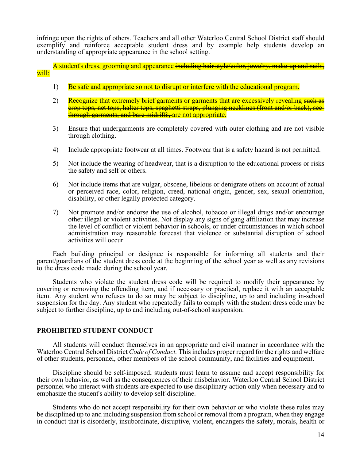infringe upon the rights of others. Teachers and all other Waterloo Central School District staff should exemplify and reinforce acceptable student dress and by example help students develop an understanding of appropriate appearance in the school setting.

A student's dress, grooming and appearance including hair style/color, jewelry, make-up and nails, will:

- 1) Be safe and appropriate so not to disrupt or interfere with the educational program.
- 2) Recognize that extremely brief garments or garments that are excessively revealing such as crop tops, net tops, halter tops, spaghetti straps, plunging necklines (front and/or back), seethrough garments, and bare midriffs, are not appropriate.
- 3) Ensure that undergarments are completely covered with outer clothing and are not visible through clothing.
- 4) Include appropriate footwear at all times. Footwear that is a safety hazard is not permitted.
- 5) Not include the wearing of headwear, that is a disruption to the educational process or risks the safety and self or others.
- 6) Not include items that are vulgar, obscene, libelous or denigrate others on account of actual or perceived race, color, religion, creed, national origin, gender, sex, sexual orientation, disability, or other legally protected category.
- 7) Not promote and/or endorse the use of alcohol, tobacco or illegal drugs and/or encourage other illegal or violent activities. Not display any signs of gang affiliation that may increase the level of conflict or violent behavior in schools, or under circumstances in which school administration may reasonable forecast that violence or substantial disruption of school activities will occur.

Each building principal or designee is responsible for informing all students and their parent/guardians of the student dress code at the beginning of the school year as well as any revisions to the dress code made during the school year.

Students who violate the student dress code will be required to modify their appearance by covering or removing the offending item, and if necessary or practical, replace it with an acceptable item. Any student who refuses to do so may be subject to discipline, up to and including in-school suspension for the day. Any student who repeatedly fails to comply with the student dress code may be subject to further discipline, up to and including out-of-school suspension.

#### **PROHIBITED STUDENT CONDUCT**

 All students will conduct themselves in an appropriate and civil manner in accordance with the Waterloo Central School District *Code of Conduct.* This includes proper regard for the rights and welfare of other students, personnel, other members of the school community, and facilities and equipment.

 Discipline should be self-imposed; students must learn to assume and accept responsibility for their own behavior, as well as the consequences of their misbehavior. Waterloo Central School District personnel who interact with students are expected to use disciplinary action only when necessary and to emphasize the student's ability to develop self-discipline.

Students who do not accept responsibility for their own behavior or who violate these rules may be disciplined up to and including suspension from school or removal from a program, when they engage in conduct that is disorderly, insubordinate, disruptive, violent, endangers the safety, morals, health or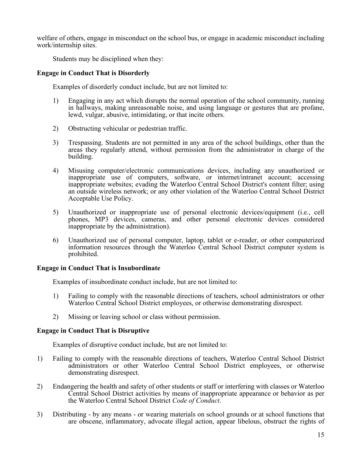welfare of others, engage in misconduct on the school bus, or engage in academic misconduct including work/internship sites.

Students may be disciplined when they:

# **Engage in Conduct That is Disorderly**

Examples of disorderly conduct include, but are not limited to:

- 1) Engaging in any act which disrupts the normal operation of the school community, running in hallways, making unreasonable noise, and using language or gestures that are profane, lewd, vulgar, abusive, intimidating, or that incite others.
- 2) Obstructing vehicular or pedestrian traffic.
- 3) Trespassing. Students are not permitted in any area of the school buildings, other than the areas they regularly attend, without permission from the administrator in charge of the building.
- 4) Misusing computer/electronic communications devices, including any unauthorized or inappropriate use of computers, software, or internet/intranet account; accessing inappropriate websites; evading the Waterloo Central School District's content filter; using an outside wireless network; or any other violation of the Waterloo Central School District Acceptable Use Policy.
- 5) Unauthorized or inappropriate use of personal electronic devices/equipment (i.e., cell phones, MP3 devices, cameras, and other personal electronic devices considered inappropriate by the administration).
- 6) Unauthorized use of personal computer, laptop, tablet or e-reader, or other computerized information resources through the Waterloo Central School District computer system is prohibited.

#### **Engage in Conduct That is Insubordinate**

Examples of insubordinate conduct include, but are not limited to:

- 1) Failing to comply with the reasonable directions of teachers, school administrators or other Waterloo Central School District employees, or otherwise demonstrating disrespect.
- 2) Missing or leaving school or class without permission.

# **Engage in Conduct That is Disruptive**

Examples of disruptive conduct include, but are not limited to:

- 1) Failing to comply with the reasonable directions of teachers, Waterloo Central School District administrators or other Waterloo Central School District employees, or otherwise demonstrating disrespect.
- 2) Endangering the health and safety of other students or staff or interfering with classes or Waterloo Central School District activities by means of inappropriate appearance or behavior as per the Waterloo Central School District *Code of Conduct*.
- 3) Distributing by any means or wearing materials on school grounds or at school functions that are obscene, inflammatory, advocate illegal action, appear libelous, obstruct the rights of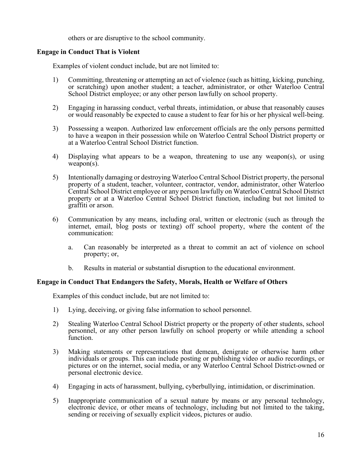others or are disruptive to the school community.

# **Engage in Conduct That is Violent**

Examples of violent conduct include, but are not limited to:

- 1) Committing, threatening or attempting an act of violence (such as hitting, kicking, punching, or scratching) upon another student; a teacher, administrator, or other Waterloo Central School District employee; or any other person lawfully on school property.
- 2) Engaging in harassing conduct, verbal threats, intimidation, or abuse that reasonably causes or would reasonably be expected to cause a student to fear for his or her physical well-being.
- 3) Possessing a weapon. Authorized law enforcement officials are the only persons permitted to have a weapon in their possession while on Waterloo Central School District property or at a Waterloo Central School District function.
- 4) Displaying what appears to be a weapon, threatening to use any weapon(s), or using  $weapon(s)$ .
- 5) Intentionally damaging or destroying Waterloo Central School District property, the personal property of a student, teacher, volunteer, contractor, vendor, administrator, other Waterloo Central School District employee or any person lawfully on Waterloo Central School District property or at a Waterloo Central School District function, including but not limited to graffiti or arson.
- 6) Communication by any means, including oral, written or electronic (such as through the internet, email, blog posts or texting) off school property, where the content of the communication:
	- a. Can reasonably be interpreted as a threat to commit an act of violence on school property; or,
	- b. Results in material or substantial disruption to the educational environment.

# **Engage in Conduct That Endangers the Safety, Morals, Health or Welfare of Others**

Examples of this conduct include, but are not limited to:

- 1) Lying, deceiving, or giving false information to school personnel.
- 2) Stealing Waterloo Central School District property or the property of other students, school personnel, or any other person lawfully on school property or while attending a school function.
- 3) Making statements or representations that demean, denigrate or otherwise harm other individuals or groups. This can include posting or publishing video or audio recordings, or pictures or on the internet, social media, or any Waterloo Central School District-owned or personal electronic device.
- 4) Engaging in acts of harassment, bullying, cyberbullying, intimidation, or discrimination.
- 5) Inappropriate communication of a sexual nature by means or any personal technology, electronic device, or other means of technology, including but not limited to the taking, sending or receiving of sexually explicit videos, pictures or audio.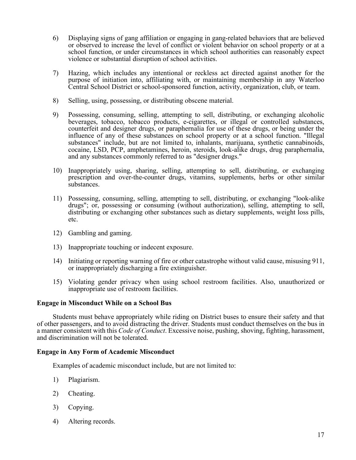- 6) Displaying signs of gang affiliation or engaging in gang-related behaviors that are believed or observed to increase the level of conflict or violent behavior on school property or at a school function, or under circumstances in which school authorities can reasonably expect violence or substantial disruption of school activities.
- 7) Hazing, which includes any intentional or reckless act directed against another for the purpose of initiation into, affiliating with, or maintaining membership in any Waterloo Central School District or school-sponsored function, activity, organization, club, or team.
- 8) Selling, using, possessing, or distributing obscene material.
- 9) Possessing, consuming, selling, attempting to sell, distributing, or exchanging alcoholic beverages, tobacco, tobacco products, e-cigarettes, or illegal or controlled substances, counterfeit and designer drugs, or paraphernalia for use of these drugs, or being under the influence of any of these substances on school property or at a school function. "Illegal substances" include, but are not limited to, inhalants, marijuana, synthetic cannabinoids, cocaine, LSD, PCP, amphetamines, heroin, steroids, look-alike drugs, drug paraphernalia, and any substances commonly referred to as "designer drugs."
- 10) Inappropriately using, sharing, selling, attempting to sell, distributing, or exchanging prescription and over-the-counter drugs, vitamins, supplements, herbs or other similar substances.
- 11) Possessing, consuming, selling, attempting to sell, distributing, or exchanging "look-alike drugs"; or, possessing or consuming (without authorization), selling, attempting to sell, distributing or exchanging other substances such as dietary supplements, weight loss pills, etc.
- 12) Gambling and gaming.
- 13) Inappropriate touching or indecent exposure.
- 14) Initiating or reporting warning of fire or other catastrophe without valid cause, misusing 911, or inappropriately discharging a fire extinguisher.
- 15) Violating gender privacy when using school restroom facilities. Also, unauthorized or inappropriate use of restroom facilities.

#### **Engage in Misconduct While on a School Bus**

Students must behave appropriately while riding on District buses to ensure their safety and that of other passengers, and to avoid distracting the driver. Students must conduct themselves on the bus in a manner consistent with this *Code of Conduct*. Excessive noise, pushing, shoving, fighting, harassment, and discrimination will not be tolerated.

# **Engage in Any Form of Academic Misconduct**

Examples of academic misconduct include, but are not limited to:

- 1) Plagiarism.
- 2) Cheating.
- 3) Copying.
- 4) Altering records.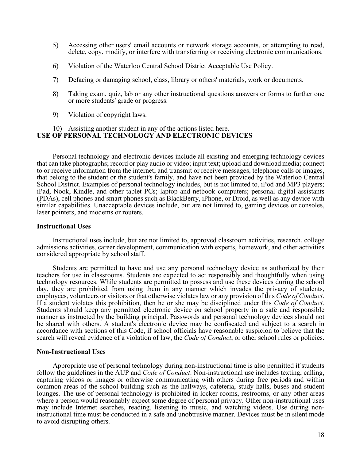- 5) Accessing other users' email accounts or network storage accounts, or attempting to read, delete, copy, modify, or interfere with transferring or receiving electronic communications.
- 6) Violation of the Waterloo Central School District Acceptable Use Policy.
- 7) Defacing or damaging school, class, library or others' materials, work or documents.
- 8) Taking exam, quiz, lab or any other instructional questions answers or forms to further one or more students' grade or progress.
- 9) Violation of copyright laws.

# 10) Assisting another student in any of the actions listed here. **USE OF PERSONAL TECHNOLOGY AND ELECTRONIC DEVICES**

Personal technology and electronic devices include all existing and emerging technology devices that can take photographs; record or play audio or video; input text; upload and download media; connect to or receive information from the internet; and transmit or receive messages, telephone calls or images, that belong to the student or the student's family, and have not been provided by the Waterloo Central School District. Examples of personal technology includes, but is not limited to, iPod and MP3 players; iPad, Nook, Kindle, and other tablet PCs; laptop and netbook computers; personal digital assistants (PDAs), cell phones and smart phones such as BlackBerry, iPhone, or Droid, as well as any device with similar capabilities. Unacceptable devices include, but are not limited to, gaming devices or consoles, laser pointers, and modems or routers.

#### **Instructional Uses**

Instructional uses include, but are not limited to, approved classroom activities, research, college admissions activities, career development, communication with experts, homework, and other activities considered appropriate by school staff.

Students are permitted to have and use any personal technology device as authorized by their teachers for use in classrooms. Students are expected to act responsibly and thoughtfully when using technology resources. While students are permitted to possess and use these devices during the school day, they are prohibited from using them in any manner which invades the privacy of students, employees, volunteers or visitors or that otherwise violates law or any provision of this *Code of Conduct*. If a student violates this prohibition, then he or she may be disciplined under this *Code of Conduct*.<br>Students should keep any permitted electronic device on school property in a safe and responsible manner as instructed by the building principal. Passwords and personal technology devices should not be shared with others. A student's electronic device may be confiscated and subject to a search in accordance with sections of this Code, if school officials have reasonable suspicion to believe that the search will reveal evidence of a violation of law, the *Code of Conduct*, or other school rules or policies.

#### **Non-Instructional Uses**

Appropriate use of personal technology during non-instructional time is also permitted if students follow the guidelines in the AUP and *Code of Conduct*. Non-instructional use includes texting, calling, capturing videos or images or otherwise communicating with others during free periods and within common areas of the school building such as the hallways, cafeteria, study halls, buses and student lounges. The use of personal technology is prohibited in locker rooms, restrooms, or any other areas where a person would reasonably expect some degree of personal privacy. Other non-instructional uses may include Internet searches, reading, listening to music, and watching videos. Use during noninstructional time must be conducted in a safe and unobtrusive manner. Devices must be in silent mode to avoid disrupting others.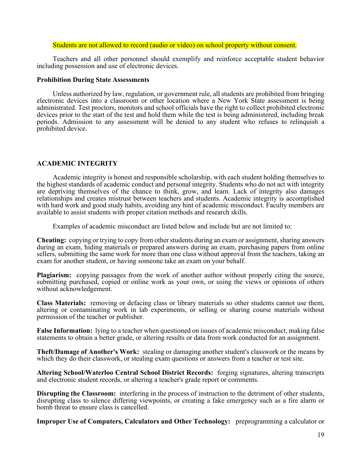#### Students are not allowed to record (audio or video) on school property without consent.

Teachers and all other personnel should exemplify and reinforce acceptable student behavior including possession and use of electronic devices.

#### **Prohibition During State Assessments**

Unless authorized by law, regulation, or government rule, all students are prohibited from bringing electronic devices into a classroom or other location where a New York State assessment is being administrated. Test proctors, monitors and school officials have the right to collect prohibited electronic devices prior to the start of the test and hold them while the test is being administered, including break periods. Admission to any assessment will be denied to any student who refuses to relinquish a prohibited device.

# **ACADEMIC INTEGRITY**

Academic integrity is honest and responsible scholarship, with each student holding themselves to the highest standards of academic conduct and personal integrity. Students who do not act with integrity are depriving themselves of the chance to think, grow, and learn. Lack of integrity also damages relationships and creates mistrust between teachers and students. Academic integrity is accomplished with hard work and good study habits, avoiding any hint of academic misconduct. Faculty members are available to assist students with proper citation methods and research skills.

Examples of academic misconduct are listed below and include but are not limited to:

**Cheating:** copying or trying to copy from other students during an exam or assignment, sharing answers during an exam, hiding materials or prepared answers during an exam, purchasing papers from online sellers, submitting the same work for more than one class without approval from the teachers, taking an exam for another student, or having someone take an exam on your behalf.

**Plagiarism:** copying passages from the work of another author without properly citing the source, submitting purchased, copied or online work as your own, or using the views or opinions of others without acknowledgement.

**Class Materials:** removing or defacing class or library materials so other students cannot use them, altering or contaminating work in lab experiments, or selling or sharing course materials without permission of the teacher or publisher.

**False Information:** lying to a teacher when questioned on issues of academic misconduct, making false statements to obtain a better grade, or altering results or data from work conducted for an assignment.

**Theft/Damage of Another's Work:** stealing or damaging another student's classwork or the means by which they do their classwork, or stealing exam questions or answers from a teacher or test site.

**Altering School/Waterloo Central School District Records:** forging signatures, altering transcripts and electronic student records, or altering a teacher's grade report or comments.

**Disrupting the Classroom:** interfering in the process of instruction to the detriment of other students, disrupting class to silence differing viewpoints, or creating a fake emergency such as a fire alarm or bomb threat to ensure class is cancelled.

**Improper Use of Computers, Calculators and Other Technology:** preprogramming a calculator or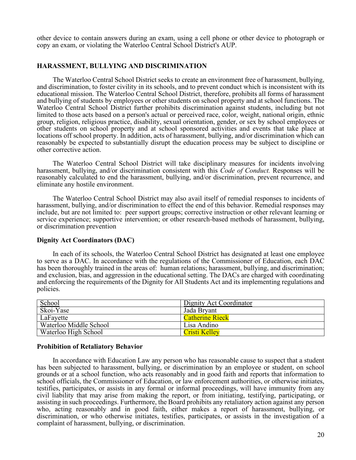other device to contain answers during an exam, using a cell phone or other device to photograph or copy an exam, or violating the Waterloo Central School District's AUP.

#### **HARASSMENT, BULLYING AND DISCRIMINATION**

The Waterloo Central School District seeks to create an environment free of harassment, bullying, and discrimination, to foster civility in its schools, and to prevent conduct which is inconsistent with its educational mission. The Waterloo Central School District, therefore, prohibits all forms of harassment and bullying of students by employees or other students on school property and at school functions. The Waterloo Central School District further prohibits discrimination against students, including but not limited to those acts based on a person's actual or perceived race, color, weight, national origin, ethnic group, religion, religious practice, disability, sexual orientation, gender, or sex by school employees or other students on school property and at school sponsored activities and events that take place at locations off school property. In addition, acts of harassment, bullying, and/or discrimination which can reasonably be expected to substantially disrupt the education process may be subject to discipline or other corrective action.

The Waterloo Central School District will take disciplinary measures for incidents involving harassment, bullying, and/or discrimination consistent with this *Code of Conduct.* Responses will be reasonably calculated to end the harassment, bullying, and/or discrimination, prevent recurrence, and eliminate any hostile environment.

The Waterloo Central School District may also avail itself of remedial responses to incidents of harassment, bullying, and/or discrimination to effect the end of this behavior. Remedial responses may include, but are not limited to: peer support groups; corrective instruction or other relevant learning or service experience; supportive intervention; or other research-based methods of harassment, bullying, or discrimination prevention

#### **Dignity Act Coordinators (DAC)**

In each of its schools, the Waterloo Central School District has designated at least one employee to serve as a DAC. In accordance with the regulations of the Commissioner of Education, each DAC has been thoroughly trained in the areas of: human relations; harassment, bullying, and discrimination; and exclusion, bias, and aggression in the educational setting. The DACs are charged with coordinating and enforcing the requirements of the Dignity for All Students Act and its implementing regulations and policies.

| School                 | Dignity Act Coordinator |
|------------------------|-------------------------|
| Skoi-Yase              | Jada Bryant             |
| LaFayette              | <b>Catherine Rieck</b>  |
| Waterloo Middle School | Lisa Andino             |
| Waterloo High School   | Cristi Kellev           |

#### **Prohibition of Retaliatory Behavior**

In accordance with Education Law any person who has reasonable cause to suspect that a student has been subjected to harassment, bullying, or discrimination by an employee or student, on school grounds or at a school function, who acts reasonably and in good faith and reports that information to school officials, the Commissioner of Education, or law enforcement authorities, or otherwise initiates, testifies, participates, or assists in any formal or informal proceedings, will have immunity from any civil liability that may arise from making the report, or from initiating, testifying, participating, or assisting in such proceedings. Furthermore, the Board prohibits any retaliatory action against any person who, acting reasonably and in good faith, either makes a report of harassment, bullying, or discrimination, or who otherwise initiates, testifies, participates, or assists in the investigation of a complaint of harassment, bullying, or discrimination.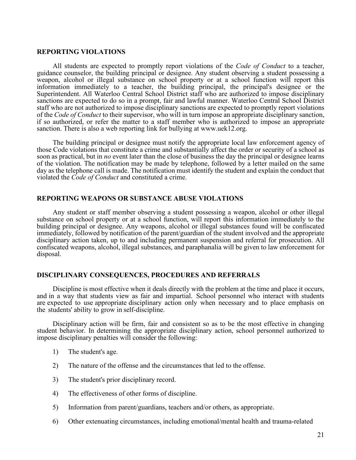### **REPORTING VIOLATIONS**

All students are expected to promptly report violations of the *Code of Conduct* to a teacher, guidance counselor, the building principal or designee. Any student observing a student possessing a weapon, alcohol or illegal substance on school property or at a school function will report this information immediately to a teacher, the building principal, the principal's designee or the Superintendent. All Waterloo Central School District staff who are authorized to impose disciplinary sanctions are expected to do so in a prompt, fair and lawful manner. Waterloo Central School District staff who are not authorized to impose disciplinary sanctions are expected to promptly report violations of the *Code of Conduct* to their supervisor, who will in turn impose an appropriate disciplinary sanction, if so authorized, or refer the matter to a staff member who is authorized to impose an appropriate sanction. There is also a web reporting link for bullying at www.uek12.org.

The building principal or designee must notify the appropriate local law enforcement agency of those Code violations that constitute a crime and substantially affect the order or security of a school as soon as practical, but in *no* event later than the close of business the day the principal or designee learns of the violation. The notification may be made by telephone, followed by a letter mailed on the same day as the telephone call is made. The notification must identify the student and explain the conduct that violated the *Code of Conduct* and constituted a crime.

#### **REPORTING WEAPONS OR SUBSTANCE ABUSE VIOLATIONS**

Any student or staff member observing a student possessing a weapon, alcohol or other illegal substance on school property or at a school function, will report this information immediately to the building principal or designee. Any weapons, alcohol or illegal substances found will be confiscated immediately, followed by notification of the parent/guardian of the student involved and the appropriate disciplinary action taken, up to and including permanent suspension and referral for prosecution. All confiscated weapons, alcohol, illegal substances, and paraphanalia will be given to law enforcement for disposal.

#### **DISCIPLINARY CONSEQUENCES, PROCEDURES AND REFERRALS**

Discipline is most effective when it deals directly with the problem at the time and place it occurs, and in a way that students view as fair and impartial. School personnel who interact with students are expected to use appropriate disciplinary action only when necessary and to place emphasis on the students' ability to grow in self-discipline.

Disciplinary action will be firm, fair and consistent so as to be the most effective in changing student behavior. In determining the appropriate disciplinary action, school personnel authorized to impose disciplinary penalties will consider the following:

- 1) The student's age.
- 2) The nature of the offense and the circumstances that led to the offense.
- 3) The student's prior disciplinary record.
- 4) The effectiveness of other forms of discipline.
- 5) Information from parent/guardians, teachers and/or others, as appropriate.
- 6) Other extenuating circumstances, including emotional/mental health and trauma-related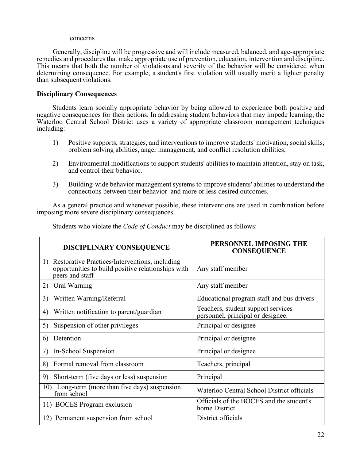#### concerns

Generally, discipline will be progressive and will include measured, balanced, and age-appropriate remedies and procedures that make appropriate use of prevention, education, intervention and discipline. This means that both the number of violations and severity of the behavior will be considered when determining consequence. For example, a student's first violation will usually merit a lighter penalty than subsequent violations.

# **Disciplinary Consequences**

Students learn socially appropriate behavior by being allowed to experience both positive and negative consequences for their actions. In addressing student behaviors that may impede learning, the Waterloo Central School District uses a variety of appropriate classroom management techniques including:

- 1) Positive supports, strategies, and interventions to improve students' motivation, social skills, problem solving abilities, anger management, and conflict resolution abilities;
- 2) Environmental modifications to support students' abilities to maintain attention, stay on task, and control their behavior.
- 3) Building-wide behavior management systems to improve students' abilities to understand the connections between their behavior and more or less desired outcomes.

As a general practice and whenever possible, these interventions are used in combination before imposing more severe disciplinary consequences.

| Students who violate the Code of Conduct may be disciplined as follows: |  |  |
|-------------------------------------------------------------------------|--|--|
|-------------------------------------------------------------------------|--|--|

| <b>DISCIPLINARY CONSEQUENCE</b>                                                                                                         | PERSONNEL IMPOSING THE<br><b>CONSEQUENCE</b>                            |
|-----------------------------------------------------------------------------------------------------------------------------------------|-------------------------------------------------------------------------|
| Restorative Practices/Interventions, including<br>$\mathbf{D}$<br>opportunities to build positive relationships with<br>peers and staff | Any staff member                                                        |
| Oral Warning<br>2)                                                                                                                      | Any staff member                                                        |
| Written Warning/Referral<br>3)                                                                                                          | Educational program staff and bus drivers                               |
| Written notification to parent/guardian<br>4)                                                                                           | Teachers, student support services<br>personnel, principal or designee. |
| Suspension of other privileges<br>5)                                                                                                    | Principal or designee                                                   |
| Detention<br>6)                                                                                                                         | Principal or designee                                                   |
| In-School Suspension<br>7)                                                                                                              | Principal or designee                                                   |
| Formal removal from classroom<br>8)                                                                                                     | Teachers, principal                                                     |
| Short-term (five days or less) suspension<br>9)                                                                                         | Principal                                                               |
| Long-term (more than five days) suspension<br>10)<br>from school                                                                        | Waterloo Central School District officials                              |
| 11) BOCES Program exclusion                                                                                                             | Officials of the BOCES and the student's<br>home District               |
| 12) Permanent suspension from school                                                                                                    | District officials                                                      |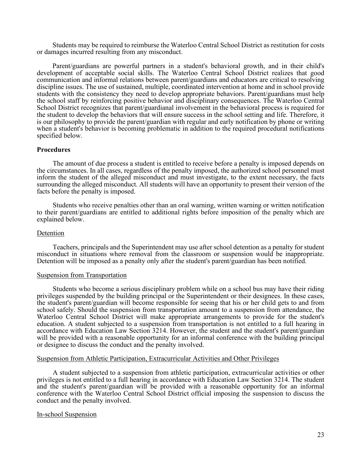Students may be required to reimburse the Waterloo Central School District as restitution for costs or damages incurred resulting from any misconduct.

Parent/guardians are powerful partners in a student's behavioral growth, and in their child's development of acceptable social skills. The Waterloo Central School District realizes that good communication and informal relations between parent/guardians and educators are critical to resolving discipline issues. The use of sustained, multiple, coordinated intervention at home and in school provide students with the consistency they need to develop appropriate behaviors. Parent/guardians must help the school staff by reinforcing positive behavior and disciplinary consequences. The Waterloo Central School District recognizes that parent/guardianal involvement in the behavioral process is required for the student to develop the behaviors that will ensure success in the school setting and life. Therefore, it is our philosophy to provide the parent/guardian with regular and early notification by phone or writing when a student's behavior is becoming problematic in addition to the required procedural notifications specified below.

#### **Procedures**

 The amount of due process a student is entitled to receive before a penalty is imposed depends on the circumstances. In all cases, regardless of the penalty imposed, the authorized school personnel must inform the student of the alleged misconduct and must investigate, to the extent necessary, the facts surrounding the alleged misconduct. All students will have an opportunity to present their version of the facts before the penalty is imposed.

Students who receive penalties other than an oral warning, written warning or written notification to their parent/guardians are entitled to additional rights before imposition of the penalty which are explained below.

#### Detention

Teachers, principals and the Superintendent may use after school detention as a penalty for student misconduct in situations where removal from the classroom or suspension would be inappropriate. Detention will be imposed as a penalty only after the student's parent/guardian has been notified.

#### Suspension from Transportation

Students who become a serious disciplinary problem while on a school bus may have their riding privileges suspended by the building principal or the Superintendent or their designees. In these cases, the student's parent/guardian will become responsible for seeing that his or her child gets to and from school safely. Should the suspension from transportation amount to a suspension from attendance, the Waterloo Central School District will make appropriate arrangements to provide for the student's education. A student subjected to a suspension from transportation is not entitled to a full hearing in accordance with Education Law Section 3214. However, the student and the student's parent/guardian will be provided with a reasonable opportunity for an informal conference with the building principal or designee to discuss the conduct and the penalty involved.

#### Suspension from Athletic Participation, Extracurricular Activities and Other Privileges

A student subjected to a suspension from athletic participation, extracurricular activities or other privileges is not entitled to a full hearing in accordance with Education Law Section 3214. The student and the student's parent/guardian will be provided with a reasonable opportunity for an informal conference with the Waterloo Central School District official imposing the suspension to discuss the conduct and the penalty involved.

#### In-school Suspension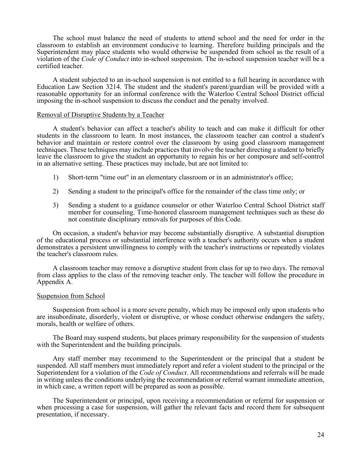The school must balance the need of students to attend school and the need for order in the classroom to establish an environment conducive to learning. Therefore building principals and the Superintendent may place students who would otherwise be suspended from school as the result of a violation of the *Code of Conduct* into in-school suspension. The in-school suspension teacher will be a certified teacher.

A student subjected to an in-school suspension is not entitled to a full hearing in accordance with Education Law Section 3214. The student and the student's parent/guardian will be provided with a reasonable opportunity for an informal conference with the Waterloo Central School District official imposing the in-school suspension to discuss the conduct and the penalty involved.

#### Removal of Disruptive Students by a Teacher

A student's behavior can affect a teacher's ability to teach and can make it difficult for other students in the classroom to learn. In most instances, the classroom teacher can control a student's behavior and maintain or restore control over the classroom by using good classroom management techniques. These techniques may include practices that involve the teacher directing a student to briefly leave the classroom to give the student an opportunity to regain his or her composure and self-control in an alternative setting. These practices may include, but are not limited to:

- 1) Short-term "time out" in an elementary classroom or in an administrator's office;
- 2) Sending a student to the principal's office for the remainder of the class time only; or
- 3) Sending a student to a guidance counselor or other Waterloo Central School District staff member for counseling. Time-honored classroom management techniques such as these do not constitute disciplinary removals for purposes of this Code.

On occasion, a student's behavior may become substantially disruptive. A substantial disruption of the educational process or substantial interference with a teacher's authority occurs when a student demonstrates a persistent unwillingness to comply with the teacher's instructions or repeatedly violates the teacher's classroom rules.

 A classroom teacher may remove a disruptive student from class for up to two days. The removal from class applies to the class of the removing teacher only. The teacher will follow the procedure in Appendix A.

#### Suspension from School

Suspension from school is a more severe penalty, which may be imposed only upon students who are insubordinate, disorderly, violent or disruptive, or whose conduct otherwise endangers the safety, morals, health or welfare of others.

The Board may suspend students, but places primary responsibility for the suspension of students with the Superintendent and the building principals.

Any staff member may recommend to the Superintendent or the principal that a student be suspended. All staff members must immediately report and refer a violent student to the principal or the Superintendent for a violation of the *Code of Conduct*. All recommendations and referrals will be made in writing unless the conditions underlying the recommendation or referral warrant immediate attention, in which case, a written report will be prepared as soon as possible.

The Superintendent or principal, upon receiving a recommendation or referral for suspension or when processing a case for suspension, will gather the relevant facts and record them for subsequent presentation, if necessary.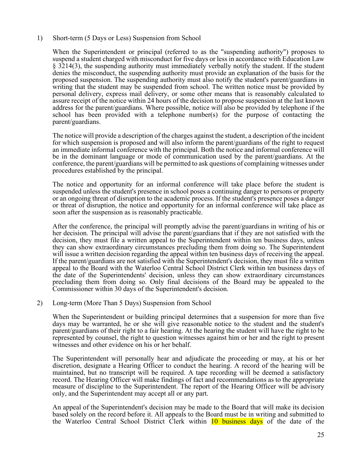### 1) Short-term (5 Days or Less) Suspension from School

When the Superintendent or principal (referred to as the "suspending authority") proposes to suspend a student charged with misconduct for five days or less in accordance with Education Law § 3214(3), the suspending authority must immediately verbally notify the student. If the student denies the misconduct, the suspending authority must provide an explanation of the basis for the proposed suspension. The suspending authority must also notify the student's parent/guardians in writing that the student may be suspended from school. The written notice must be provided by personal delivery, express mail delivery, or some other means that is reasonably calculated to assure receipt of the notice within 24 hours of the decision to propose suspension at the last known address for the parent/guardians. Where possible, notice will also be provided by telephone if the school has been provided with a telephone number(s) for the purpose of contacting the parent/guardians.

The notice will provide a description of the charges against the student, a description of the incident for which suspension is proposed and will also inform the parent/guardians of the right to request an immediate informal conference with the principal. Both the notice and informal conference will be in the dominant language or mode of communication used by the parent/guardians. At the conference, the parent/guardians will be permitted to ask questions of complaining witnesses under procedures established by the principal.

The notice and opportunity for an informal conference will take place before the student is suspended unless the student's presence in school poses a continuing danger to persons or property or an ongoing threat of disruption to the academic process. If the student's presence poses a danger or threat of disruption, the notice and opportunity for an informal conference will take place as soon after the suspension as is reasonably practicable.

After the conference, the principal will promptly advise the parent/guardians in writing of his or her decision. The principal will advise the parent/guardians that if they are not satisfied with the decision, they must file a written appeal to the Superintendent within ten business days, unless they can show extraordinary circumstances precluding them from doing so. The Superintendent will issue a written decision regarding the appeal within ten business days of receiving the appeal. If the parent/guardians are not satisfied with the Superintendent's decision, they must file a written appeal to the Board with the Waterloo Central School District Clerk within ten business days of the date of the Superintendents' decision, unless they can show extraordinary circumstances precluding them from doing so. Only final decisions of the Board may be appealed to the Commissioner within 30 days of the Superintendent's decision.

#### 2) Long-term (More Than 5 Days) Suspension from School

When the Superintendent or building principal determines that a suspension for more than five days may be warranted, he or she will give reasonable notice to the student and the student's parent/guardians of their right to a fair hearing. At the hearing the student will have the right to be represented by counsel, the right to question witnesses against him or her and the right to present witnesses and other evidence on his or her behalf.

The Superintendent will personally hear and adjudicate the proceeding or may, at his or her discretion, designate a Hearing Officer to conduct the hearing. A record of the hearing will be maintained, but no transcript will be required. A tape recording will be deemed a satisfactory record. The Hearing Officer will make findings of fact and recommendations as to the appropriate measure of discipline to the Superintendent. The report of the Hearing Officer will be advisory only, and the Superintendent may accept all or any part.

An appeal of the Superintendent's decision may be made to the Board that will make its decision based solely on the record before it. All appeals to the Board must be in writing and submitted to the Waterloo Central School District Clerk within 10 business days of the date of the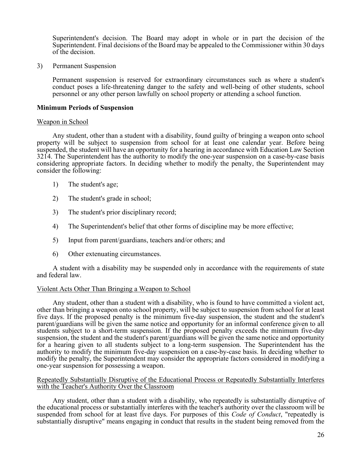Superintendent's decision. The Board may adopt in whole or in part the decision of the Superintendent. Final decisions of the Board may be appealed to the Commissioner within 30 days of the decision.

3) Permanent Suspension

Permanent suspension is reserved for extraordinary circumstances such as where a student's conduct poses a life-threatening danger to the safety and well-being of other students, school personnel or any other person lawfully on school property or attending a school function.

# **Minimum Periods of Suspension**

#### Weapon in School

 Any student, other than a student with a disability, found guilty of bringing a weapon onto school property will be subject to suspension from school for at least one calendar year. Before being suspended, the student will have an opportunity for a hearing in accordance with Education Law Section 3214. The Superintendent has the authority to modify the one-year suspension on a case-by-case basis considering appropriate factors. In deciding whether to modify the penalty, the Superintendent may consider the following:

- 1) The student's age;
- 2) The student's grade in school;
- 3) The student's prior disciplinary record;
- 4) The Superintendent's belief that other forms of discipline may be more effective;
- 5) Input from parent/guardians, teachers and/or others; and
- 6) Other extenuating circumstances.

A student with a disability may be suspended only in accordance with the requirements of state and federal law.

#### Violent Acts Other Than Bringing a Weapon to School

Any student, other than a student with a disability, who is found to have committed a violent act, other than bringing a weapon onto school property, will be subject to suspension from school for at least five days. If the proposed penalty is the minimum five-day suspension, the student and the student's parent/guardians will be given the same notice and opportunity for an informal conference given to all students subject to a short-term suspension. If the proposed penalty exceeds the minimum five-day suspension, the student and the student's parent/guardians will be given the same notice and opportunity for a hearing given to all students subject to a long-term suspension. The Superintendent has the authority to modify the minimum five-day suspension on a case-by-case basis. In deciding whether to modify the penalty, the Superintendent may consider the appropriate factors considered in modifying a one-year suspension for possessing a weapon.

#### Repeatedly Substantially Disruptive of the Educational Process or Repeatedly Substantially Interferes with the Teacher's Authority Over the Classroom

Any student, other than a student with a disability, who repeatedly is substantially disruptive of the educational process or substantially interferes with the teacher's authority over the classroom will be suspended from school for at least five days. For purposes of this *Code of Conduct*, "repeatedly is substantially disruptive" means engaging in conduct that results in the student being removed from the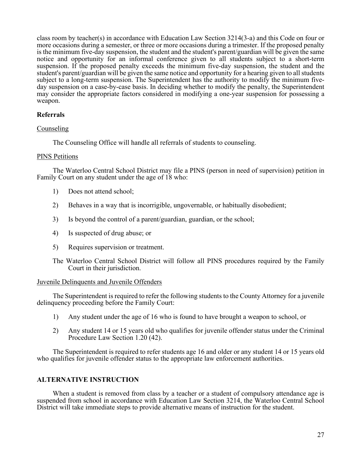class room by teacher(s) in accordance with Education Law Section 3214(3-a) and this Code on four or more occasions during a semester, or three or more occasions during a trimester. If the proposed penalty is the minimum five-day suspension, the student and the student's parent/guardian will be given the same notice and opportunity for an informal conference given to all students subject to a short-term suspension. If the proposed penalty exceeds the minimum five-day suspension, the student and the student's parent/guardian will be given the same notice and opportunity for a hearing given to all students subject to a long-term suspension. The Superintendent has the authority to modify the minimum fiveday suspension on a case-by-case basis. In deciding whether to modify the penalty, the Superintendent may consider the appropriate factors considered in modifying a one-year suspension for possessing a weapon.

# **Referrals**

# Counseling

The Counseling Office will handle all referrals of students to counseling.

# PINS Petitions

The Waterloo Central School District may file a PINS (person in need of supervision) petition in Family Court on any student under the age of 18 who:

- 1) Does not attend school;
- 2) Behaves in a way that is incorrigible, ungovernable, or habitually disobedient;
- 3) Is beyond the control of a parent/guardian, guardian, or the school;
- 4) Is suspected of drug abuse; or
- 5) Requires supervision or treatment.
- The Waterloo Central School District will follow all PINS procedures required by the Family Court in their jurisdiction.

# Juvenile Delinquents and Juvenile Offenders

The Superintendent is required to refer the following students to the County Attorney for a juvenile delinquency proceeding before the Family Court:

- 1) Any student under the age of 16 who is found to have brought a weapon to school, or
- 2) Any student 14 or 15 years old who qualifies for juvenile offender status under the Criminal Procedure Law Section 1.20 (42).

The Superintendent is required to refer students age 16 and older or any student 14 or 15 years old who qualifies for juvenile offender status to the appropriate law enforcement authorities.

# **ALTERNATIVE INSTRUCTION**

When a student is removed from class by a teacher or a student of compulsory attendance age is suspended from school in accordance with Education Law Section 3214, the Waterloo Central School District will take immediate steps to provide alternative means of instruction for the student.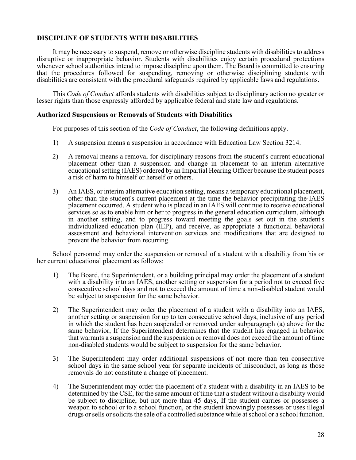# **DISCIPLINE OF STUDENTS WITH DISABILITIES**

It may be necessary to suspend, remove or otherwise discipline students with disabilities to address disruptive or inappropriate behavior. Students with disabilities enjoy certain procedural protections whenever school authorities intend to impose discipline upon them. The Board is committed to ensuring that the procedures followed for suspending, removing or otherwise disciplining students with disabilities are consistent with the procedural safeguards required by applicable laws and regulations.

This *Code of Conduct* affords students with disabilities subject to disciplinary action no greater or lesser rights than those expressly afforded by applicable federal and state law and regulations.

#### **Authorized Suspensions or Removals of Students with Disabilities**

For purposes of this section of the *Code of Conduct*, the following definitions apply.

- 1) A suspension means a suspension in accordance with Education Law Section 3214.
- 2) A removal means a removal for disciplinary reasons from the student's current educational placement other than a suspension and change in placement to an interim alternative educational setting (IAES) ordered by an Impartial Hearing Officer because the student poses a risk of harm to himself or herself or others.
- 3) An IAES, or interim alternative education setting, means a temporary educational placement, other than the student's current placement at the time the behavior precipitating the·IAES placement occurred. A student who is placed in an IAES will continue to receive educational services so as to enable him or her to progress in the general education curriculum, although in another setting, and to progress toward meeting the goals set out in the student's individualized education plan (IEP), and receive, as appropriate a functional behavioral assessment and behavioral intervention services and modifications that are designed to prevent the behavior from recurring.

School personnel may order the suspension or removal of a student with a disability from his or her current educational placement as follows:

- 1) The Board, the Superintendent, or a building principal may order the placement of a student with a disability into an IAES, another setting or suspension for a period not to exceed five consecutive school days and not to exceed the amount of time a non-disabled student would be subject to suspension for the same behavior.
- 2) The Superintendent may order the placement of a student with a disability into an IAES, another setting or suspension for up to ten consecutive school days, inclusive of any period in which the student has been suspended or removed under subparagraph (a) above for the same behavior, If the Superintendent determines that the student has engaged in behavior that warrants a suspension and the suspension or removal does not exceed the amount of time non-disabled students would be subject to suspension for the same behavior.
- 3) The Superintendent may order additional suspensions of not more than ten consecutive school days in the same school year for separate incidents of misconduct, as long as those removals do not constitute a change of placement.
- 4) The Superintendent may order the placement of a student with a disability in an IAES to be determined by the CSE, for the same amount of time that a student without a disability would be subject to discipline, but not more than 45 days, If the student carries or possesses a weapon to school or to a school function, or the student knowingly possesses or uses illegal drugs or sells or solicits the sale of a controlled substance while at school or a school function.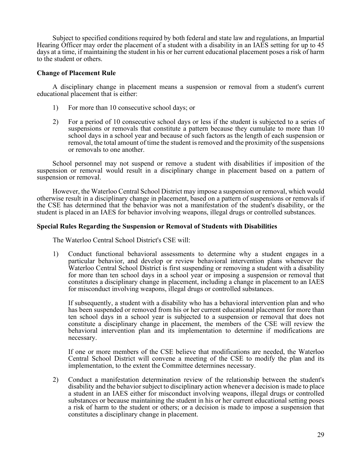Subject to specified conditions required by both federal and state law and regulations, an Impartial Hearing Officer may order the placement of a student with a disability in an IAES setting for up to 45 days at a time, if maintaining the student in his or her current educational placement poses a risk of harm to the student or others.

# **Change of Placement Rule**

A disciplinary change in placement means a suspension or removal from a student's current educational placement that is either:

- 1) For more than 10 consecutive school days; or
- 2) For a period of 10 consecutive school days or less if the student is subjected to a series of suspensions or removals that constitute a pattern because they cumulate to more than 10 school days in a school year and because of such factors as the length of each suspension or removal, the total amount of time the student is removed and the proximity of the suspensions or removals to one another.

School personnel may not suspend or remove a student with disabilities if imposition of the suspension or removal would result in a disciplinary change in placement based on a pattern of suspension or removal.

However, the Waterloo Central School District may impose a suspension or removal, which would otherwise result in a disciplinary change in placement, based on a pattern of suspensions or removals if the CSE has determined that the behavior was not a manifestation of the student's disability, or the student is placed in an IAES for behavior involving weapons, illegal drugs or controlled substances.

#### **Special Rules Regarding the Suspension or Removal of Students with Disabilities**

The Waterloo Central School District's CSE will:

1) Conduct functional behavioral assessments to determine why a student engages in a particular behavior, and develop or review behavioral intervention plans whenever the Waterloo Central School District is first suspending or removing a student with a disability for more than ten school days in a school year or imposing a suspension or removal that constitutes a disciplinary change in placement, including a change in placement to an IAES for misconduct involving weapons, illegal drugs or controlled substances.

If subsequently, a student with a disability who has a behavioral intervention plan and who has been suspended or removed from his or her current educational placement for more than ten school days in a school year is subjected to a suspension or removal that does not constitute a disciplinary change in placement, the members of the CSE will review the behavioral intervention plan and its implementation to determine if modifications are necessary.

If one or more members of the CSE believe that modifications are needed, the Waterloo Central School District will convene a meeting of the CSE to modify the plan and its implementation, to the extent the Committee determines necessary.

2) Conduct a manifestation determination review of the relationship between the student's disability and the behavior subject to disciplinary action whenever a decision is made to place a student in an IAES either for misconduct involving weapons, illegal drugs or controlled substances or because maintaining the student in his or her current educational setting poses a risk of harm to the student or others; or a decision is made to impose a suspension that constitutes a disciplinary change in placement.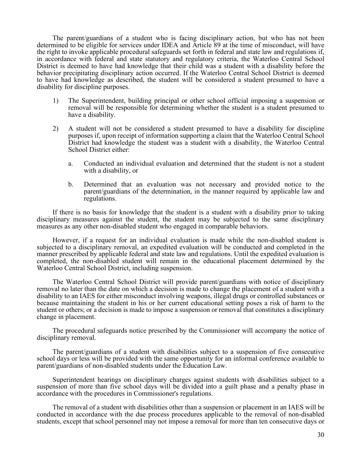The parent/guardians of a student who is facing disciplinary action, but who has not been determined to be eligible for services under IDEA and Article 89 at the time of misconduct, will have the right to invoke applicable procedural safeguards set forth in federal and state law and regulations if, in accordance with federal and state statutory and regulatory criteria, the Waterloo Central School District is deemed to have had knowledge that their child was a student with a disability before the behavior precipitating disciplinary action occurred. If the Waterloo Central School District is deemed to have had knowledge as described, the student will be considered a student presumed to have a disability for discipline purposes.

- 1) The Superintendent, building principal or other school official imposing a suspension or removal will be responsible for determining whether the student is a student presumed to have a disability.
- 2) A student will not be considered a student presumed to have a disability for discipline purposes if, upon receipt of information supporting a claim that the Waterloo Central School District had knowledge the student was a student with a disability, the Waterloo Central School District either:
	- a. Conducted an individual evaluation and determined that the student is not a student with a disability, or
	- b. Determined that an evaluation was not necessary and provided notice to the parent/guardians of the determination, in the manner required by applicable law and regulations.

If there is no basis for knowledge that the student is a student with a disability prior to taking disciplinary measures against the student, the student may be subjected to the same disciplinary measures as any other non-disabled student who engaged in comparable behaviors.

However, if a request for an individual evaluation is made while the non-disabled student is subjected to a disciplinary removal, an expedited evaluation will be conducted and completed in the manner prescribed by applicable federal and state law and regulations. Until the expedited evaluation is completed, the non-disabled student will remain in the educational placement determined by the Waterloo Central School District, including suspension.

The Waterloo Central School District will provide parent/guardians with notice of disciplinary removal no later than the date on which a decision is made to change the placement of a student with a disability to an IAES for either misconduct involving weapons, illegal drugs or controlled substances or because maintaining the student in his or her current educational setting poses a risk of harm to the student or others; or a decision is made to impose a suspension or removal that constitutes a disciplinary change in placement.

The procedural safeguards notice prescribed by the Commissioner will accompany the notice of disciplinary removal.

The parent/guardians of a student with disabilities subject to a suspension of five consecutive school days or less will be provided with the same opportunity for an informal conference available to parent/guardians of non-disabled students under the Education Law.

Superintendent hearings on disciplinary charges against students with disabilities subject to a suspension of more than five school days will be divided into a guilt phase and a penalty phase in accordance with the procedures in Commissioner's regulations.

The removal of a student with disabilities other than a suspension or placement in an IAES will be conducted in accordance with the due process procedures applicable to the removal of non-disabled students, except that school personnel may not impose a removal for more than ten consecutive days or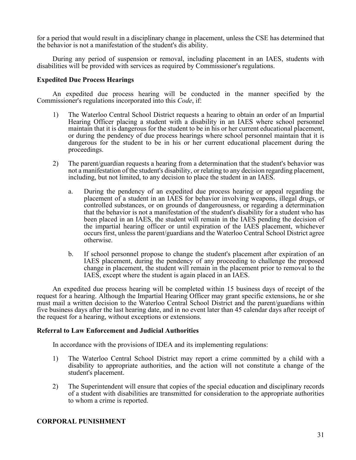for a period that would result in a disciplinary change in placement, unless the CSE has determined that the behavior is not a manifestation of the student's dis ability.

During any period of suspension or removal, including placement in an IAES, students with disabilities will be provided with services as required by Commissioner's regulations.

# **Expedited Due Process Hearings**

An expedited due process hearing will be conducted in the manner specified by the Commissioner's regulations incorporated into this *Code*, if:

- 1) The Waterloo Central School District requests a hearing to obtain an order of an Impartial Hearing Officer placing a student with a disability in an IAES where school personnel maintain that it is dangerous for the student to be in his or her current educational placement, or during the pendency of due process hearings where school personnel maintain that it is dangerous for the student to be in his or her current educational placement during the proceedings.
- 2) The parent/guardian requests a hearing from a determination that the student's behavior was not a manifestation of the student's disability, or relating to any decision regarding placement, including, but not limited, to any decision to place the student in an IAES.
	- a. During the pendency of an expedited due process hearing or appeal regarding the placement of a student in an IAES for behavior involving weapons, illegal drugs, or controlled substances, or on grounds of dangerousness, or regarding a determination that the behavior is not a manifestation of the student's disability for a student who has been placed in an IAES, the student will remain in the IAES pending the decision of the impartial hearing officer or until expiration of the IAES placement, whichever occurs first, unless the parent/guardians and the Waterloo Central School District agree otherwise.
	- b. If school personnel propose to change the student's placement after expiration of an IAES placement, during the pendency of any proceeding to challenge the proposed change in placement, the student will remain in the placement prior to removal to the IAES, except where the student is again placed in an IAES.

An expedited due process hearing will be completed within 15 business days of receipt of the request for a hearing. Although the Impartial Hearing Officer may grant specific extensions, he or she must mail a written decision to the Waterloo Central School District and the parent/guardians within five business days after the last hearing date, and in no event later than 45 calendar days after receipt of the request for a hearing, without exceptions or extensions.

#### **Referral to Law Enforcement and Judicial Authorities**

In accordance with the provisions of IDEA and its implementing regulations:

- 1) The Waterloo Central School District may report a crime committed by a child with a disability to appropriate authorities, and the action will not constitute a change of the student's placement.
- 2) The Superintendent will ensure that copies of the special education and disciplinary records of a student with disabilities are transmitted for consideration to the appropriate authorities to whom a crime is reported.

# **CORPORAL PUNISHMENT**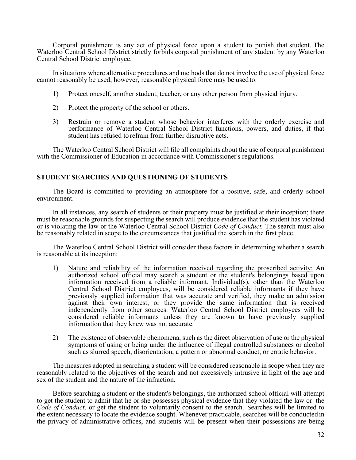Corporal punishment is any act of physical force upon a student to punish that student. The Waterloo Central School District strictly forbids corporal punishment of any student by any Waterloo Central School District employee.

 In situations where alternative procedures and methods that do not involve the use of physical force cannot reasonably be used, however, reasonable physical force may be used to:

- 1) Protect oneself, another student, teacher, or any other person from physical injury.
- 2) Protect the property of the school or others.
- 3) Restrain or remove a student whose behavior interferes with the orderly exercise and performance of Waterloo Central School District functions, powers, and duties, if that student has refused to refrain from further disruptive acts.

The Waterloo Central School District will file all complaints about the use of corporal punishment with the Commissioner of Education in accordance with Commissioner's regulations.

# **STUDENT SEARCHES AND QUESTIONING OF STUDENTS**

The Board is committed to providing an atmosphere for a positive, safe, and orderly school environment.

In all instances, any search of students or their property must be justified at their inception; there must be reasonable grounds for suspecting the search will produce evidence that the student has violated or is violating the law or the Waterloo Central School District *Code of Conduct.* The search must also be reasonably related in scope to the circumstances that justified the search in the first place.

The Waterloo Central School District will consider these factors in determining whether a search is reasonable at its inception:

- 1) Nature and reliability of the information received regarding the proscribed activity: An authorized school official may search a student or the student's belongings based upon information received from a reliable informant. Individual(s), other than the Waterloo Central School District employees, will be considered reliable informants if they have previously supplied information that was accurate and verified, they make an admission against their own interest, or they provide the same information that is received independently from other sources. Waterloo Central School District employees will be considered reliable informants unless they are known to have previously supplied information that they knew was not accurate.
- 2) The existence of observable phenomena, such as the direct observation of use or the physical symptoms of using or being under the influence of illegal controlled substances or alcohol such as slurred speech, disorientation, a pattern or abnormal conduct, or erratic behavior.

The measures adopted in searching a student will be considered reasonable in scope when they are reasonably related to the objectives of the search and not excessively intrusive in light of the age and sex of the student and the nature of the infraction.

Before searching a student or the student's belongings, the authorized school official will attempt to get the student to admit that he or she possesses physical evidence that they violated the law or the *Code of Conduct*, or get the student to voluntarily consent to the search. Searches will be limited to the extent necessary to locate the evidence sought. Whenever practicable, searches will be conducted in the privacy of administrative offices, and students will be present when their possessions are being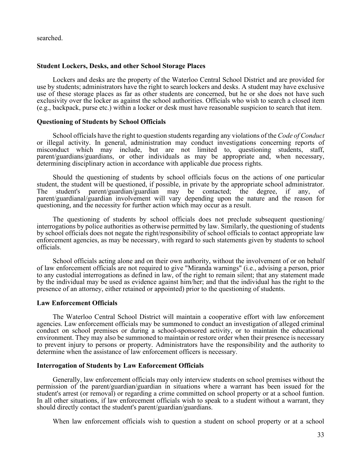searched.

#### **Student Lockers, Desks, and other School Storage Places**

Lockers and desks are the property of the Waterloo Central School District and are provided for use by students; administrators have the right to search lockers and desks. A student may have exclusive use of these storage places as far as other students are concerned, but he or she does not have such exclusivity over the locker as against the school authorities. Officials who wish to search a closed item (e.g., backpack, purse etc.) within a locker or desk must have reasonable suspicion to search that item.

#### **Questioning of Students by School Officials**

School officials have the right to question students regarding any violations of the *Code of Conduct* or illegal activity. In general, administration may conduct investigations concerning reports of misconduct which may include, but are not limited to, questioning students, staff, parent/guardians/guardians, or other individuals as may be appropriate and, when necessary, determining disciplinary action in accordance with applicable due process rights.

Should the questioning of students by school officials focus on the actions of one particular student, the student will be questioned, if possible, in private by the appropriate school administrator.<br>The student's parent/guardian/guardian may be contacted; the degree, if any, of The student's parent/guardian/guardian may be contacted; the degree, if any, parent/guardianal/guardian involvement will vary depending upon the nature and the reason for questioning, and the necessity for further action which may occur as a result.

The questioning of students by school officials does not preclude subsequent questioning/ interrogations by police authorities as otherwise permitted by law. Similarly, the questioning of students by school officials does not negate the right/responsibility of school officials to contact appropriate law enforcement agencies, as may be necessary, with regard to such statements given by students to school officials.

School officials acting alone and on their own authority, without the involvement of or on behalf of law enforcement officials are not required to give "Miranda warnings" (i.e., advising a person, prior to any custodial interrogations as defined in law, of the right to remain silent; that any statement made by the individual may be used as evidence against him/her; and that the individual has the right to the presence of an attorney, either retained or appointed) prior to the questioning of students.

#### **Law Enforcement Officials**

The Waterloo Central School District will maintain a cooperative effort with law enforcement agencies. Law enforcement officials may be summoned to conduct an investigation of alleged criminal conduct on school premises or during a school-sponsored activity, or to maintain the educational environment. They may also be summoned to maintain or restore order when their presence is necessary to prevent injury to persons or property. Administrators have the responsibility and the authority to determine when the assistance of law enforcement officers is necessary.

#### **Interrogation of Students by Law Enforcement Officials**

Generally, law enforcement officials may only interview students on school premises without the permission of the parent/guardian/guardian in situations where a warrant has been issued for the student's arrest (or removal) or regarding a crime committed on school property or at a school funtion. In all other situations, if law enforcement officials wish to speak to a student without a warrant, they should directly contact the student's parent/guardian/guardians.

When law enforcement officials wish to question a student on school property or at a school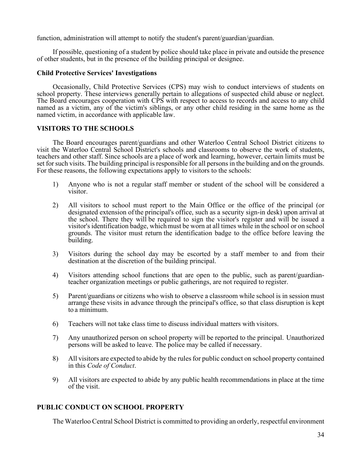function, administration will attempt to notify the student's parent/guardian/guardian.

If possible, questioning of a student by police should take place in private and outside the presence of other students, but in the presence of the building principal or designee.

# **Child Protective Services' Investigations**

Occasionally, Child Protective Services (CPS) may wish to conduct interviews of students on school property. These interviews generally pertain to allegations of suspected child abuse or neglect. The Board encourages cooperation with CPS with respect to access to records and access to any child named as a victim, any of the victim's siblings, or any other child residing in the same home as the named victim, in accordance with applicable law.

# **VISITORS TO THE SCHOOLS**

The Board encourages parent/guardians and other Waterloo Central School District citizens to visit the Waterloo Central School District's schools and classrooms to observe the work of students, teachers and other staff. Since schools are a place of work and learning, however, certain limits must be set for such visits. The building principal is responsible for all persons in the building and on the grounds. For these reasons, the following expectations apply to visitors to the schools:

- 1) Anyone who is not a regular staff member or student of the school will be considered a visitor.
- 2) All visitors to school must report to the Main Office or the office of the principal (or designated extension ofthe principal's office, such as a security sign-in desk) upon arrival at the school. There they will be required to sign the visitor's register and will be issued a visitor's identification badge, whichmust be worn at all times while in the school or on school grounds. The visitor must return the identification badge to the office before leaving the building.
- 3) Visitors during the school day may be escorted by a staff member to and from their destination at the discretion of the building principal.
- 4) Visitors attending school functions that are open to the public, such as parent/guardianteacher organization meetings or public gatherings, are not required to register.
- 5) Parent/guardians or citizens who wish to observe a classroom while school is in session must arrange these visits in advance through the principal's office, so that class disruption is kept to a minimum.
- 6) Teachers will not take class time to discuss individual matters with visitors.
- 7) Any unauthorized person on school property will be reported to the principal. Unauthorized persons will be asked to leave. The police may be called if necessary.
- 8) All visitors are expected to abide by the rules for public conduct on school property contained in this *Code of Conduct*.
- 9) All visitors are expected to abide by any public health recommendations in place at the time of the visit.

# **PUBLIC CONDUCT ON SCHOOL PROPERTY**

The Waterloo Central School District is committed to providing an orderly, respectful environment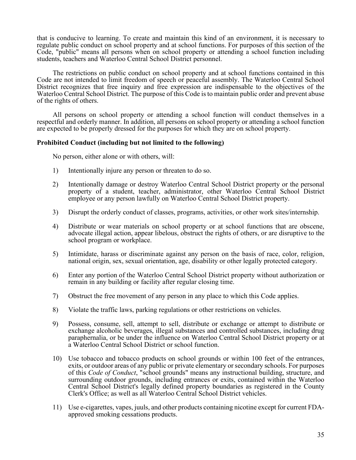that is conducive to learning. To create and maintain this kind of an environment, it is necessary to regulate public conduct on school property and at school functions. For purposes of this section of the Code, "public" means all persons when on school property or attending a school function including students, teachers and Waterloo Central School District personnel.

The restrictions on public conduct on school property and at school functions contained in this Code are not intended to limit freedom of speech or peaceful assembly. The Waterloo Central School District recognizes that free inquiry and free expression are indispensable to the objectives of the Waterloo Central School District. The purpose of this Code is to maintain public order and prevent abuse of the rights of others.

All persons on school property or attending a school function will conduct themselves in a respectful and orderly manner. In addition, all persons on school property or attending a school function are expected to be properly dressed for the purposes for which they are on school property.

# **Prohibited Conduct (including but not limited to the following)**

No person, either alone or with others, will:

- 1) Intentionally injure any person or threaten to do so.
- 2) Intentionally damage or destroy Waterloo Central School District property or the personal property of a student, teacher, administrator, other Waterloo Central School District employee or any person lawfully on Waterloo Central School District property.
- 3) Disrupt the orderly conduct of classes, programs, activities, or other work sites/internship.
- 4) Distribute or wear materials on school property or at school functions that are obscene, advocate illegal action, appear libelous, obstruct the rights of others, or are disruptive to the school program or workplace.
- 5) Intimidate, harass or discriminate against any person on the basis of race, color, religion, national origin, sex, sexual orientation, age, disability or other legally protected category.
- 6) Enter any portion of the Waterloo Central School District property without authorization or remain in any building or facility after regular closing time.
- 7) Obstruct the free movement of any person in any place to which this Code applies.
- 8) Violate the traffic laws, parking regulations or other restrictions on vehicles.
- 9) Possess, consume, sell, attempt to sell, distribute or exchange or attempt to distribute or exchange alcoholic beverages, illegal substances and controlled substances, including drug paraphernalia, or be under the influence on Waterloo Central School District property or at a Waterloo Central School District or school function.
- 10) Use tobacco and tobacco products on school grounds or within 100 feet of the entrances, exits, or outdoor areas of any public or private elementary or secondary schools. For purposes of this *Code of Conduct*, "school grounds" means any instructional building, structure, and surrounding outdoor grounds, including entrances or exits, contained within the Waterloo Central School District's legally defined property boundaries as registered in the County Clerk's Office; as well as all Waterloo Central School District vehicles.
- 11) Use e-cigarettes, vapes, juuls, and other products containing nicotine except for current FDA- approved smoking cessations products.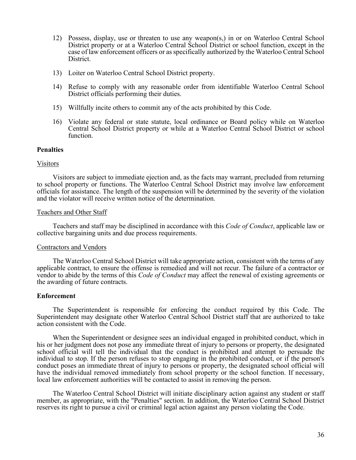- 12) Possess, display, use or threaten to use any weapon(s,) in or on Waterloo Central School District property or at a Waterloo Central School District or school function, except in the case of law enforcement officers or as specifically authorized by the Waterloo Central School District.
- 13) Loiter on Waterloo Central School District property.
- 14) Refuse to comply with any reasonable order from identifiable Waterloo Central School District officials performing their duties.
- 15) Willfully incite others to commit any of the acts prohibited by this Code.
- 16) Violate any federal or state statute, local ordinance or Board policy while on Waterloo Central School District property or while at a Waterloo Central School District or school function.

#### **Penalties**

#### Visitors

Visitors are subject to immediate ejection and, as the facts may warrant, precluded from returning to school property or functions. The Waterloo Central School District may involve law enforcement officials for assistance. The length of the suspension will be determined by the severity of the violation and the violator will receive written notice of the determination.

#### Teachers and Other Staff

Teachers and staff may be disciplined in accordance with this *Code of Conduct*, applicable law or collective bargaining units and due process requirements.

#### Contractors and Vendors

The Waterloo Central School District will take appropriate action, consistent with the terms of any applicable contract, to ensure the offense is remedied and will not recur. The failure of a contractor or vendor to abide by the terms of this *Code of Conduct* may affect the renewal of existing agreements or the awarding of future contracts.

#### **Enforcement**

The Superintendent is responsible for enforcing the conduct required by this Code. The Superintendent may designate other Waterloo Central School District staff that are authorized to take action consistent with the Code.

When the Superintendent or designee sees an individual engaged in prohibited conduct, which in his or her judgment does not pose any immediate threat of injury to persons or property, the designated school official will tell the individual that the conduct is prohibited and attempt to persuade the individual to stop. If the person refuses to stop engaging in the prohibited conduct, or if the person's conduct poses an immediate threat of injury to persons or property, the designated school official will have the individual removed immediately from school property or the school function. If necessary, local law enforcement authorities will be contacted to assist in removing the person.

The Waterloo Central School District will initiate disciplinary action against any student or staff member, as appropriate, with the "Penalties" section. In addition, the Waterloo Central School District reserves its right to pursue a civil or criminal legal action against any person violating the Code.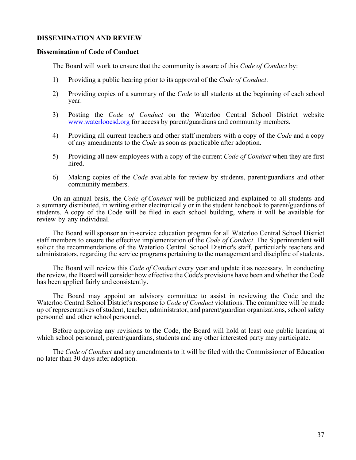#### **DISSEMINATION AND REVIEW**

#### **Dissemination of Code of Conduct**

The Board will work to ensure that the community is aware of this *Code of Conduct* by:

- 1) Providing a public hearing prior to its approval of the *Code of Conduct*.
- 2) Providing copies of a summary of the *Code* to all students at the beginning of each school year.
- 3) Posting the *Code of Conduct* on the Waterloo Central School District website [www.waterloocsd.org](http://www.waterloocsd.org/) for access by parent/guardians and community members.
- 4) Providing all current teachers and other staff members with a copy of the *Code* and a copy of any amendments to the *Code* as soon as practicable after adoption.
- 5) Providing all new employees with a copy of the current *Code of Conduct* when they are first hired.
- 6) Making copies of the *Code* available for review by students, parent/guardians and other community members.

On an annual basis, the *Code of Conduct* will be publicized and explained to all students and a summary distributed, in writing either electronically or in the student handbook to parent/guardians of students. A copy of the Code will be filed in each school building, where it will be available for review by any individual.

The Board will sponsor an in-service education program for all Waterloo Central School District staff members to ensure the effective implementation of the *Code of Conduct*. The Superintendent will solicit the recommendations of the Waterloo Central School District's staff, particularly teachers and administrators, regarding the service programs pertaining to the management and discipline of students.

The Board will review this *Code of Conduct* every year and update it as necessary. In conducting the review, the Board will consider how effective the Code's provisions have been and whether the Code has been applied fairly and consistently.

The Board may appoint an advisory committee to assist in reviewing the Code and the Waterloo Central School District's response to *Code of Conduct* violations. The committee will be made up of representatives of student, teacher, administrator, and parent/guardian organizations, school safety personnel and other school personnel.

Before approving any revisions to the Code, the Board will hold at least one public hearing at which school personnel, parent/guardians, students and any other interested party may participate.

The *Code of Conduct* and any amendments to it will be filed with the Commissioner of Education no later than 30 days after adoption.